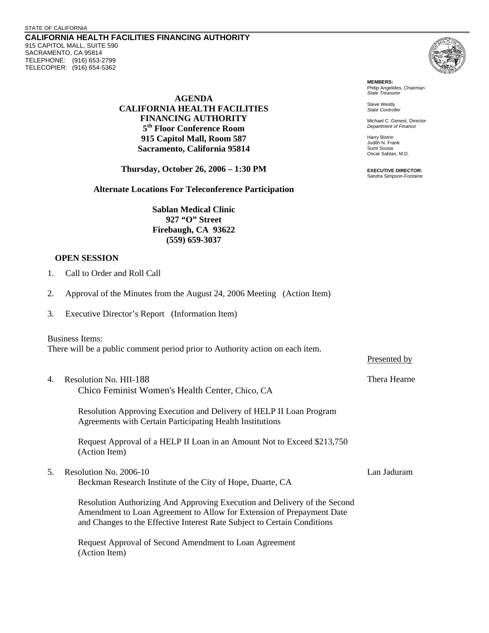**CALIFORNIA HEALTH FACILITIES FINANCING AUTHORITY**  915 CAPITOL MALL, SUITE 590 SACRAMENTO, CA 95814 TELEPHONE: (916) 653-2799 TELECOPIER: (916) 654-5362

> **AGENDA CALIFORNIA HEALTH FACILITIES FINANCING AUTHORITY 5th Floor Conference Room 915 Capitol Mall, Room 587 Sacramento, California 95814**

**Thursday, October 26, 2006 – 1:30 PM**

**Alternate Locations For Teleconference Participation** 

**Sablan Medical Clinic 927 "O" Street Firebaugh, CA 93622 (559) 659-3037** 

## **OPEN SESSION**

- 1. Call to Order and Roll Call
- 2. Approval of the Minutes from the August 24, 2006 Meeting (Action Item)
- 3. Executive Director's Report (Information Item)

## Business Items:

There will be a public comment period prior to Authority action on each item.

4. Resolution No. HII-188 Thera Hearne Chico Feminist Women's Health Center, Chico, CA

Resolution Approving Execution and Delivery of HELP II Loan Program Agreements with Certain Participating Health Institutions

Request Approval of a HELP II Loan in an Amount Not to Exceed \$213,750 (Action Item)

5. Resolution No. 2006-10 Lan Jaduram Beckman Research Institute of the City of Hope, Duarte, CA

Resolution Authorizing And Approving Execution and Delivery of the Second Amendment to Loan Agreement to Allow for Extension of Prepayment Date and Changes to the Effective Interest Rate Subject to Certain Conditions

Request Approval of Second Amendment to Loan Agreement (Action Item)



**MEMBERS:** Philip Angelides, Chairman *State Treasurer*

Steve Westly *State Controller* 

Michael C. Genest, Director *Department of Finance*

Harry Bistrin Judith N. Frank Sumi Sousa Oscar Sablan, M.D.

**EXECUTIVE DIRECTOR:** Sandra Simpson-Fontaine

Presented by